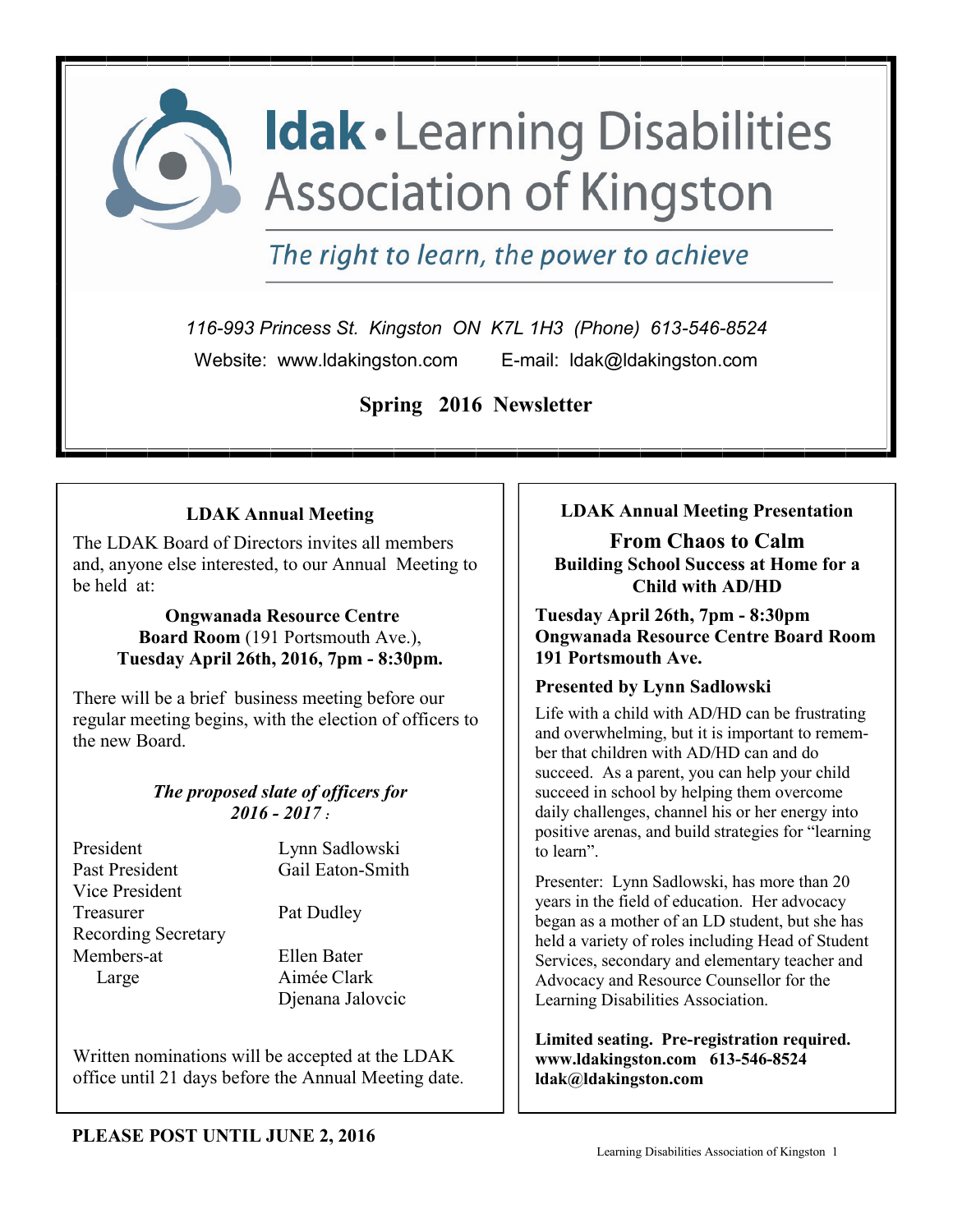

The right to learn, the power to achieve

*116-993 Princess St. Kingston ON K7L 1H3 (Phone) 613-546-8524* Website: www.ldakingston.comE-mail: ldak@ldakingston.com

**Spring 2016 Newsletter**

## **LDAK Annual Meeting**

The LDAK Board of Directors invites all members and, anyone else interested, to our Annual Meeting to be held at:

> **Ongwanada Resource Centre Board Room** (191 Portsmouth Ave.), **Tuesday April 26th, 2016, 7pm - 8:30pm.**

There will be a brief business meeting before our regular meeting begins, with the election of officers to the new Board.

#### *The proposed slate of officers for 2016 - 2017 :*

President Lynn Sadlowski Past President Gail Eaton-Smith Vice President Treasurer Pat Dudley Recording Secretary Members-at Ellen Bater Large Aimée Clark

Djenana Jalovcic

Written nominations will be accepted at the LDAK office until 21 days before the Annual Meeting date. **LDAK Annual Meeting Presentation**

**From Chaos to Calm Building School Success at Home for a Child with AD/HD**

**Tuesday April 26th, 7pm - 8:30pm Ongwanada Resource Centre Board Room 191 Portsmouth Ave.**

## **Presented by Lynn Sadlowski**

Life with a child with AD/HD can be frustrating and overwhelming, but it is important to remember that children with AD/HD can and do succeed. As a parent, you can help your child succeed in school by helping them overcome daily challenges, channel his or her energy into positive arenas, and build strategies for "learning to learn".

Presenter: Lynn Sadlowski, has more than 20 years in the field of education. Her advocacy began as a mother of an LD student, but she has held a variety of roles including Head of Student Services, secondary and elementary teacher and Advocacy and Resource Counsellor for the Learning Disabilities Association.

**Limited seating. Pre-registration required. www.ldakingston.com 613-546-8524 ldak@ldakingston.com**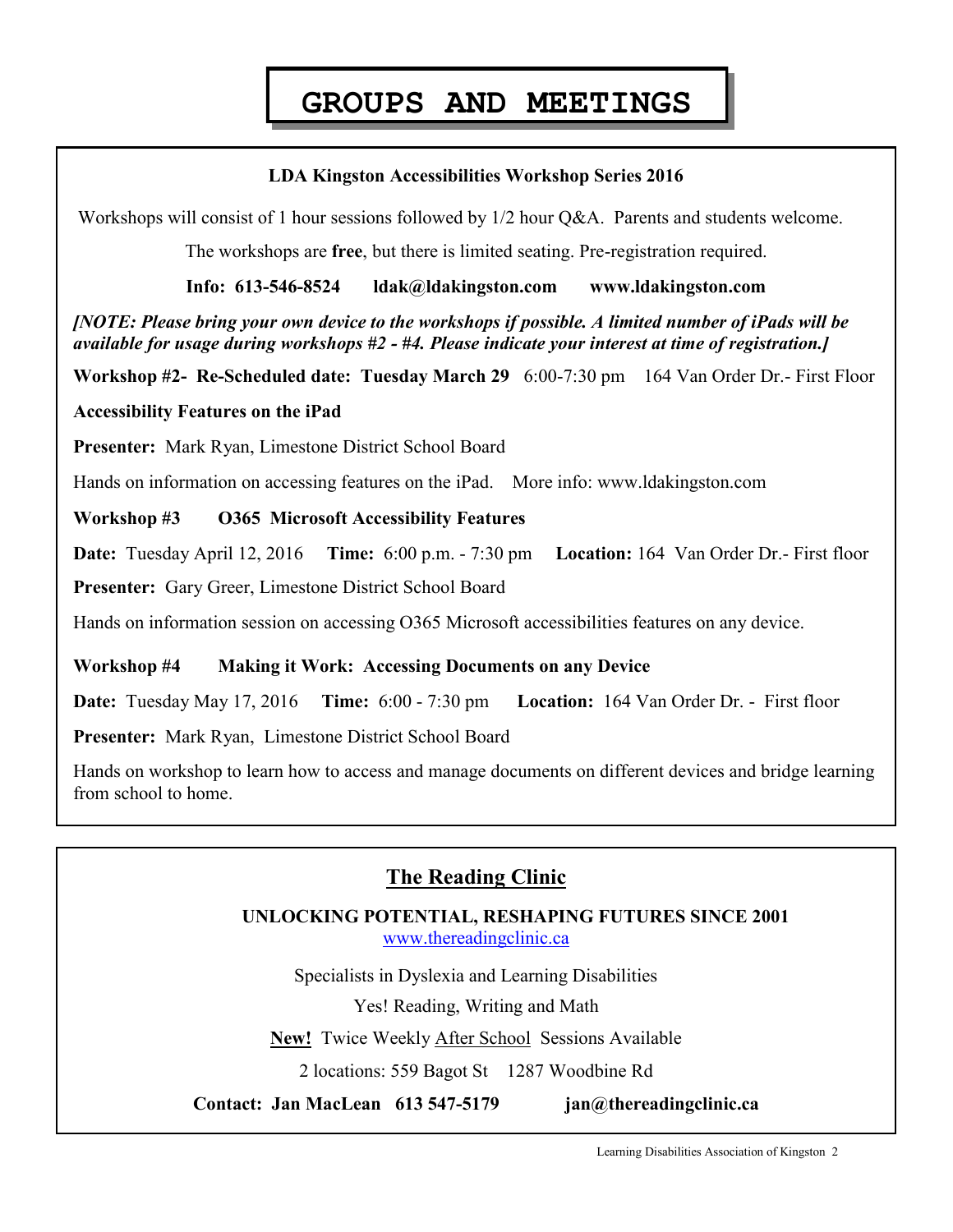# **GROUPS AND MEETINGS**

#### **LDA Kingston Accessibilities Workshop Series 2016**

Workshops will consist of 1 hour sessions followed by  $1/2$  hour Q&A. Parents and students welcome.

The workshops are **free**, but there is limited seating. Pre-registration required.

**Info: 613-546-8524 ldak@ldakingston.com www.ldakingston.com**

*[NOTE: Please bring your own device to the workshops if possible. A limited number of iPads will be available for usage during workshops #2 - #4. Please indicate your interest at time of registration.]*

**Workshop #2- Re-Scheduled date: Tuesday March 29** 6:00-7:30 pm 164 Van Order Dr.- First Floor

#### **Accessibility Features on the iPad**

**Presenter:** Mark Ryan, Limestone District School Board

Hands on information on accessing features on the iPad. More info: www.ldakingston.com

#### **Workshop #3 O365 Microsoft Accessibility Features**

**Date:** Tuesday April 12, 2016 **Time:** 6:00 p.m. - 7:30 pm **Location:** 164 Van Order Dr.- First floor **Presenter:** Gary Greer, Limestone District School Board

Hands on information session on accessing O365 Microsoft accessibilities features on any device.

#### **Workshop #4 Making it Work: Accessing Documents on any Device**

**Date:** Tuesday May 17, 2016 **Time:** 6:00 - 7:30 pm **Location:** 164 Van Order Dr. - First floor

**Presenter:** Mark Ryan, Limestone District School Board

Hands on workshop to learn how to access and manage documents on different devices and bridge learning from school to home.

## **The Reading Clinic**

 **UNLOCKING POTENTIAL, RESHAPING FUTURES SINCE 2001** [www.thereadingclinic.ca](http://www.thereadingclinic.ca)

Specialists in Dyslexia and Learning Disabilities

Yes! Reading, Writing and Math

**New!** Twice Weekly After School Sessions Available

2 locations: 559 Bagot St 1287 Woodbine Rd

**Contact: Jan MacLean 613 547-5179 jan@thereadingclinic.ca**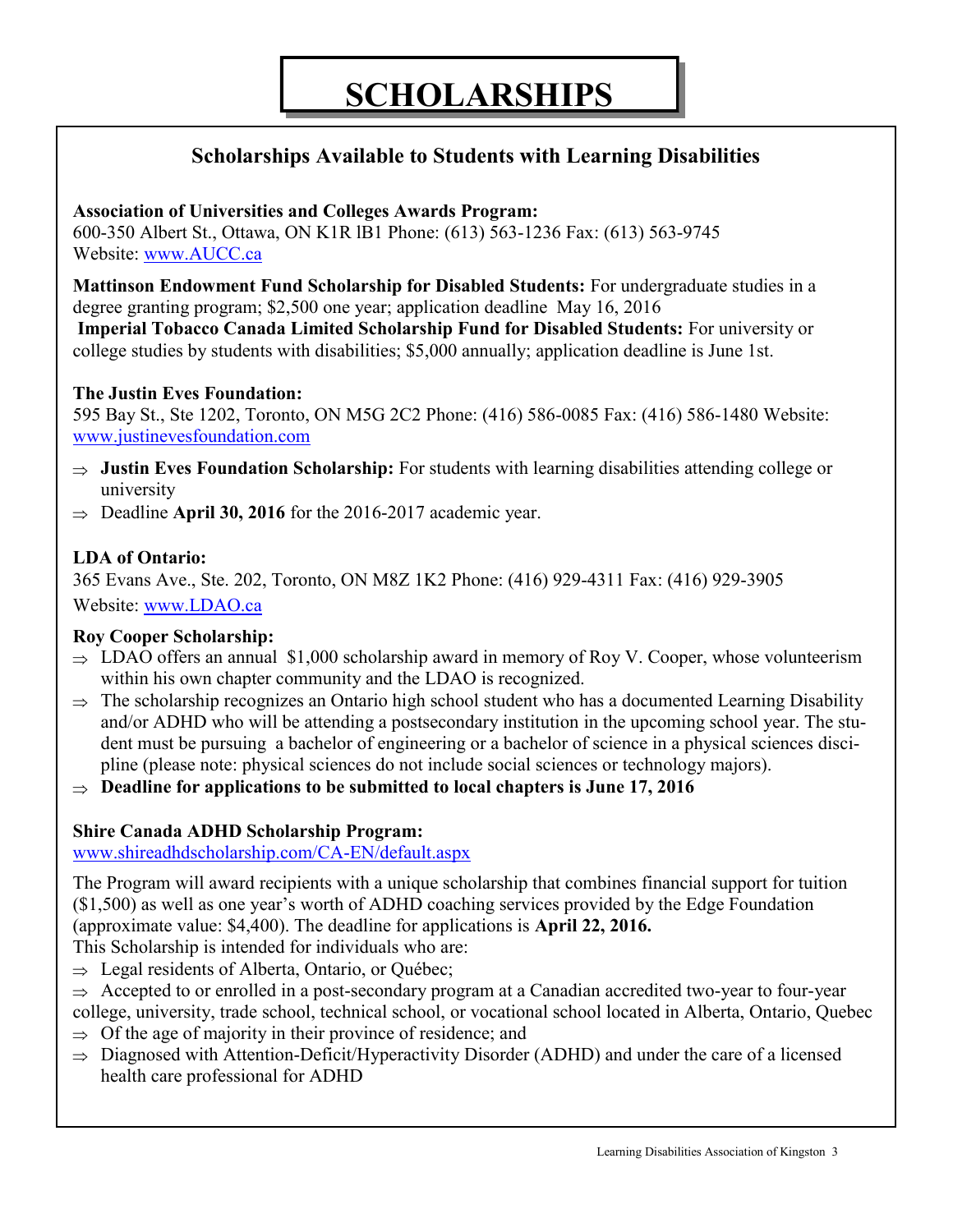## **Scholarships Available to Students with Learning Disabilities**

## **Association of Universities and Colleges Awards Program:**

600-350 Albert St., Ottawa, ON K1R lB1 Phone: (613) 563-1236 Fax: (613) 563-9745 Website: [www.AUCC.ca](http://www.AUCC.ca)

**Mattinson Endowment Fund Scholarship for Disabled Students:** For undergraduate studies in a degree granting program; \$2,500 one year; application deadline May 16, 2016

**Imperial Tobacco Canada Limited Scholarship Fund for Disabled Students:** For university or college studies by students with disabilities; \$5,000 annually; application deadline is June 1st.

### **The Justin Eves Foundation:**

595 Bay St., Ste 1202, Toronto, ON M5G 2C2 Phone: (416) 586-0085 Fax: (416) 586-1480 Website: [www.justinevesfoundation.com](http://www.justinevesfoundation.com)

- $\Rightarrow$  **Justin Eves Foundation Scholarship:** For students with learning disabilities attending college or university
- $\Rightarrow$  Deadline **April 30, 2016** for the 2016-2017 academic year.

## **LDA of Ontario:**

365 Evans Ave., Ste. 202, Toronto, ON M8Z 1K2 Phone: (416) 929-4311 Fax: (416) 929-3905 Website: [www.LDAO.ca](http://www.ldao.ca/ldao-services/ldao-scholarships-bursaries/)

## **Roy Cooper Scholarship:**

- $\Rightarrow$  LDAO offers an annual \$1,000 scholarship award in memory of Roy V. Cooper, whose volunteerism within his own chapter community and the LDAO is recognized.
- $\Rightarrow$  The scholarship recognizes an Ontario high school student who has a documented Learning Disability and/or ADHD who will be attending a postsecondary institution in the upcoming school year. The student must be pursuing a bachelor of engineering or a bachelor of science in a physical sciences discipline (please note: physical sciences do not include social sciences or technology majors).
- $\Rightarrow$  Deadline for applications to be submitted to local chapters is June 17, 2016

## **Shire Canada ADHD Scholarship Program:**

[www.shireadhdscholarship.com/CA-EN/default.aspx](http://www.shireadhdscholarship.com/CA-EN/default.aspx)

The Program will award recipients with a unique scholarship that combines financial support for tuition (\$1,500) as well as one year's worth of ADHD coaching services provided by the Edge Foundation (approximate value: \$4,400). The deadline for applications is **April 22, 2016.**

- This Scholarship is intended for individuals who are:
- $\Rightarrow$  Legal residents of Alberta, Ontario, or Ouébec;
- $\Rightarrow$  Accepted to or enrolled in a post-secondary program at a Canadian accredited two-year to four-year college, university, trade school, technical school, or vocational school located in Alberta, Ontario, Quebec
- $\Rightarrow$  Of the age of majority in their province of residence; and
- $\Rightarrow$  Diagnosed with Attention-Deficit/Hyperactivity Disorder (ADHD) and under the care of a licensed health care professional for ADHD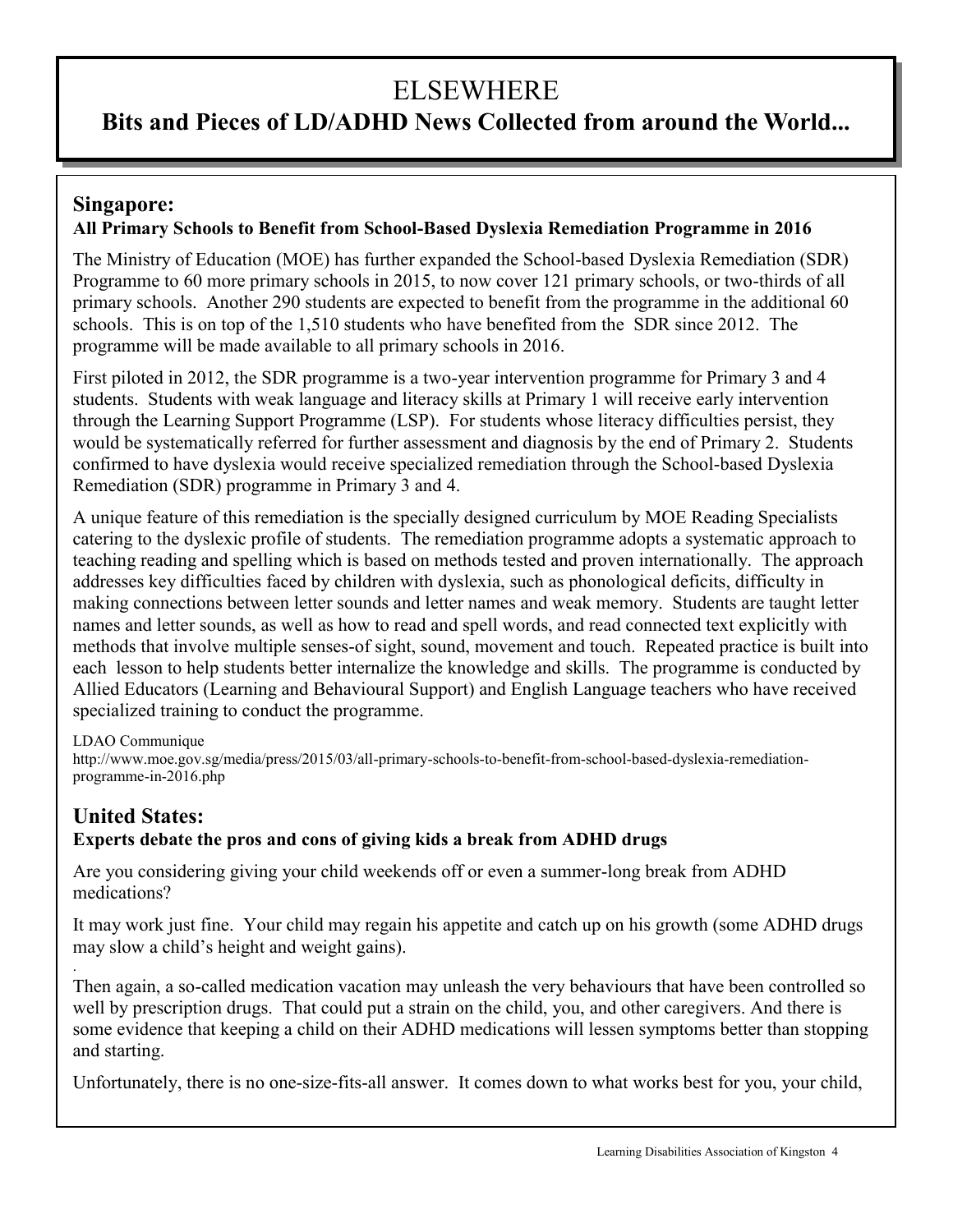# ELSEWHERE

## **Bits and Pieces of LD/ADHD News Collected from around the World...**

## **Singapore: All Primary Schools to Benefit from School-Based Dyslexia Remediation Programme in 2016**

The Ministry of Education (MOE) has further expanded the School-based Dyslexia Remediation (SDR) Programme to 60 more primary schools in 2015, to now cover 121 primary schools, or two-thirds of all primary schools. Another 290 students are expected to benefit from the programme in the additional 60 schools. This is on top of the 1,510 students who have benefited from the SDR since 2012. The programme will be made available to all primary schools in 2016.

First piloted in 2012, the SDR programme is a two-year intervention programme for Primary 3 and 4 students. Students with weak language and literacy skills at Primary 1 will receive early intervention through the Learning Support Programme (LSP). For students whose literacy difficulties persist, they would be systematically referred for further assessment and diagnosis by the end of Primary 2. Students confirmed to have dyslexia would receive specialized remediation through the School-based Dyslexia Remediation (SDR) programme in Primary 3 and 4.

A unique feature of this remediation is the specially designed curriculum by MOE Reading Specialists catering to the dyslexic profile of students. The remediation programme adopts a systematic approach to teaching reading and spelling which is based on methods tested and proven internationally. The approach addresses key difficulties faced by children with dyslexia, such as phonological deficits, difficulty in making connections between letter sounds and letter names and weak memory. Students are taught letter names and letter sounds, as well as how to read and spell words, and read connected text explicitly with methods that involve multiple senses-of sight, sound, movement and touch. Repeated practice is built into each lesson to help students better internalize the knowledge and skills. The programme is conducted by Allied Educators (Learning and Behavioural Support) and English Language teachers who have received specialized training to conduct the programme.

#### LDAO Communique

http://www.moe.gov.sg/media/press/2015/03/all-primary-schools-to-benefit-from-school-based-dyslexia-remediationprogramme-in-2016.php

#### **United States: Experts debate the pros and cons of giving kids a break from ADHD drugs**

Are you considering giving your child weekends off or even a summer-long break from ADHD medications?

It may work just fine. Your child may regain his appetite and catch up on his growth (some ADHD drugs may slow a child's height and weight gains).

. Then again, a so-called medication vacation may unleash the very behaviours that have been controlled so well by prescription drugs. That could put a strain on the child, you, and other caregivers. And there is some evidence that keeping a child on their ADHD medications will lessen symptoms better than stopping and starting.

Unfortunately, there is no one-size-fits-all answer. It comes down to what works best for you, your child,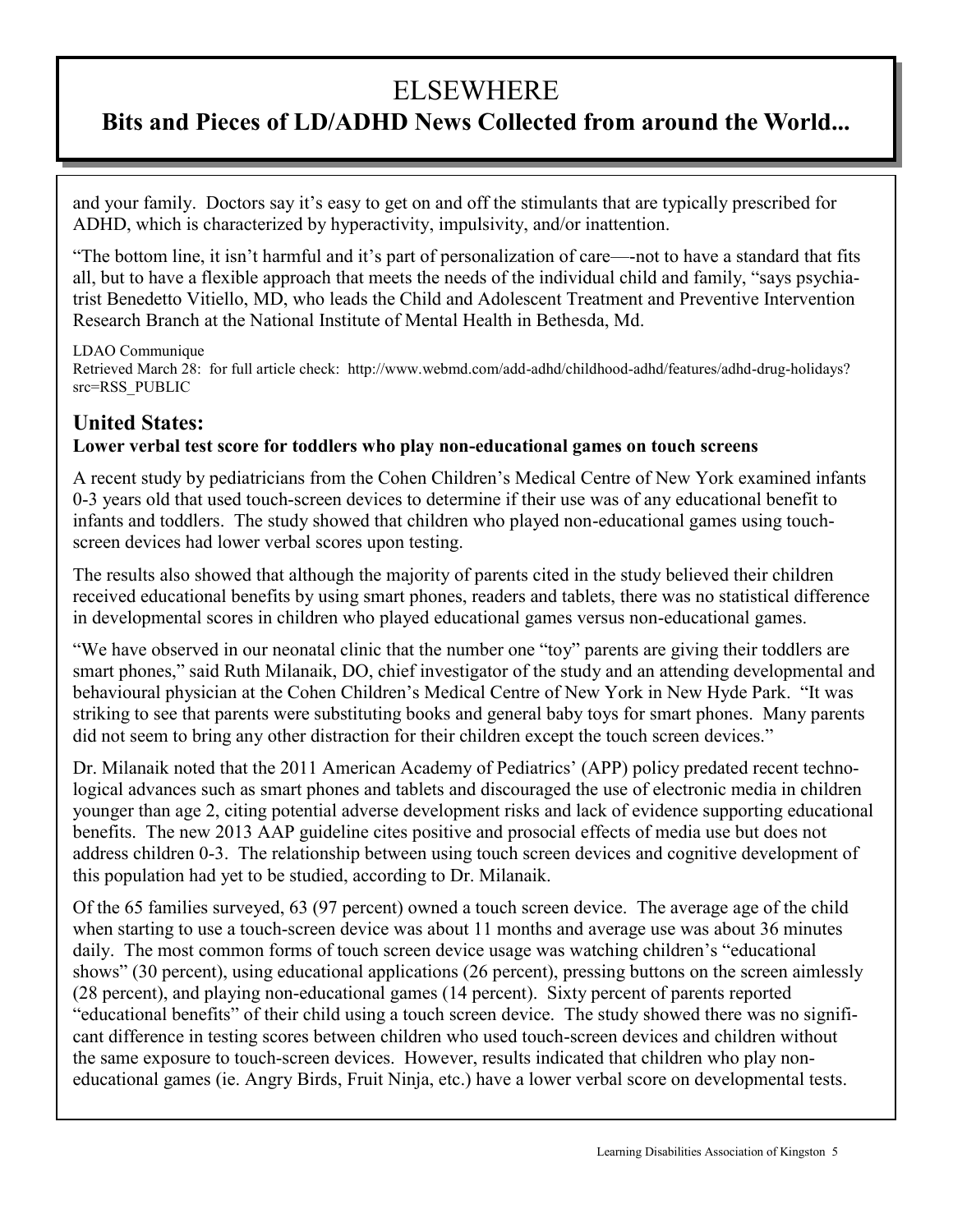# ELSEWHERE

## **Bits and Pieces of LD/ADHD News Collected from around the World...**

and your family. Doctors say it's easy to get on and off the stimulants that are typically prescribed for ADHD, which is characterized by hyperactivity, impulsivity, and/or inattention.

"The bottom line, it isn't harmful and it's part of personalization of care—-not to have a standard that fits all, but to have a flexible approach that meets the needs of the individual child and family, "says psychiatrist Benedetto Vitiello, MD, who leads the Child and Adolescent Treatment and Preventive Intervention Research Branch at the National Institute of Mental Health in Bethesda, Md.

#### LDAO Communique

Retrieved March 28: for full article check: http://www.webmd.com/add-adhd/childhood-adhd/features/adhd-drug-holidays? src=RSS\_PUBLIC

## **United States:**

#### **Lower verbal test score for toddlers who play non-educational games on touch screens**

A recent study by pediatricians from the Cohen Children's Medical Centre of New York examined infants 0-3 years old that used touch-screen devices to determine if their use was of any educational benefit to infants and toddlers. The study showed that children who played non-educational games using touchscreen devices had lower verbal scores upon testing.

The results also showed that although the majority of parents cited in the study believed their children received educational benefits by using smart phones, readers and tablets, there was no statistical difference in developmental scores in children who played educational games versus non-educational games.

"We have observed in our neonatal clinic that the number one "toy" parents are giving their toddlers are smart phones," said Ruth Milanaik, DO, chief investigator of the study and an attending developmental and behavioural physician at the Cohen Children's Medical Centre of New York in New Hyde Park. "It was striking to see that parents were substituting books and general baby toys for smart phones. Many parents did not seem to bring any other distraction for their children except the touch screen devices."

Dr. Milanaik noted that the 2011 American Academy of Pediatrics' (APP) policy predated recent technological advances such as smart phones and tablets and discouraged the use of electronic media in children younger than age 2, citing potential adverse development risks and lack of evidence supporting educational benefits. The new 2013 AAP guideline cites positive and prosocial effects of media use but does not address children 0-3. The relationship between using touch screen devices and cognitive development of this population had yet to be studied, according to Dr. Milanaik.

Of the 65 families surveyed, 63 (97 percent) owned a touch screen device. The average age of the child when starting to use a touch-screen device was about 11 months and average use was about 36 minutes daily. The most common forms of touch screen device usage was watching children's "educational shows" (30 percent), using educational applications (26 percent), pressing buttons on the screen aimlessly (28 percent), and playing non-educational games (14 percent). Sixty percent of parents reported "educational benefits" of their child using a touch screen device. The study showed there was no significant difference in testing scores between children who used touch-screen devices and children without the same exposure to touch-screen devices. However, results indicated that children who play noneducational games (ie. Angry Birds, Fruit Ninja, etc.) have a lower verbal score on developmental tests.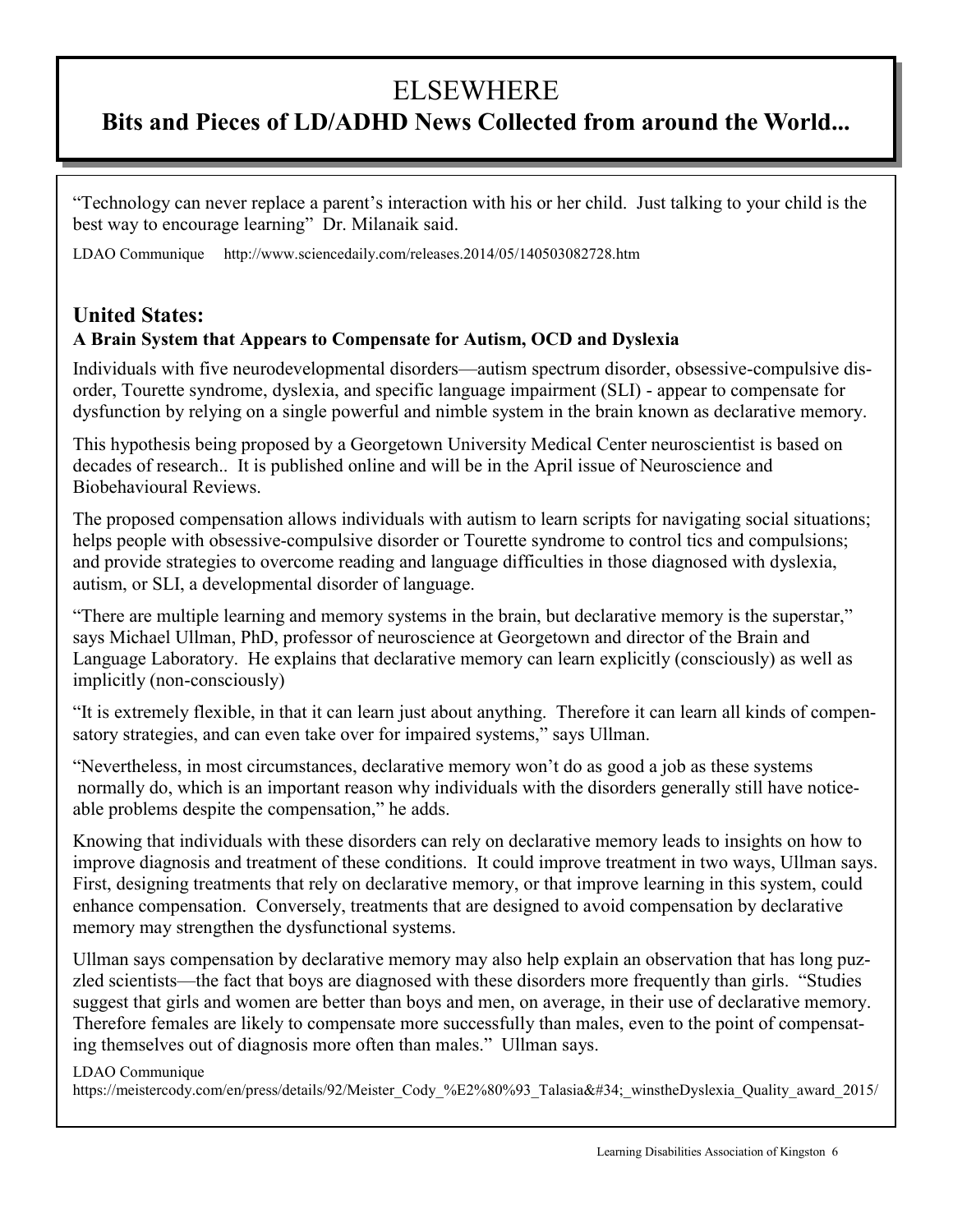# **ELSEWHERE**

## **Bits and Pieces of LD/ADHD News Collected from around the World...**

"Technology can never replace a parent's interaction with his or her child. Just talking to your child is the best way to encourage learning" Dr. Milanaik said.

LDAO Communique http://www.sciencedaily.com/releases.2014/05/140503082728.htm

## **United States: A Brain System that Appears to Compensate for Autism, OCD and Dyslexia**

Individuals with five neurodevelopmental disorders—autism spectrum disorder, obsessive-compulsive disorder, Tourette syndrome, dyslexia, and specific language impairment (SLI) - appear to compensate for dysfunction by relying on a single powerful and nimble system in the brain known as declarative memory.

This hypothesis being proposed by a Georgetown University Medical Center neuroscientist is based on decades of research.. It is published online and will be in the April issue of Neuroscience and Biobehavioural Reviews.

The proposed compensation allows individuals with autism to learn scripts for navigating social situations; helps people with obsessive-compulsive disorder or Tourette syndrome to control tics and compulsions; and provide strategies to overcome reading and language difficulties in those diagnosed with dyslexia, autism, or SLI, a developmental disorder of language.

"There are multiple learning and memory systems in the brain, but declarative memory is the superstar," says Michael Ullman, PhD, professor of neuroscience at Georgetown and director of the Brain and Language Laboratory. He explains that declarative memory can learn explicitly (consciously) as well as implicitly (non-consciously)

"It is extremely flexible, in that it can learn just about anything. Therefore it can learn all kinds of compensatory strategies, and can even take over for impaired systems," says Ullman.

"Nevertheless, in most circumstances, declarative memory won't do as good a job as these systems normally do, which is an important reason why individuals with the disorders generally still have noticeable problems despite the compensation," he adds.

Knowing that individuals with these disorders can rely on declarative memory leads to insights on how to improve diagnosis and treatment of these conditions. It could improve treatment in two ways, Ullman says. First, designing treatments that rely on declarative memory, or that improve learning in this system, could enhance compensation. Conversely, treatments that are designed to avoid compensation by declarative memory may strengthen the dysfunctional systems.

Ullman says compensation by declarative memory may also help explain an observation that has long puzzled scientists—the fact that boys are diagnosed with these disorders more frequently than girls. "Studies suggest that girls and women are better than boys and men, on average, in their use of declarative memory. Therefore females are likely to compensate more successfully than males, even to the point of compensating themselves out of diagnosis more often than males." Ullman says.

#### LDAO Communique

https://meistercody.com/en/press/details/92/Meister\_Cody\_%E2%80%93\_Talasia"\_winstheDyslexia\_Quality\_award\_2015/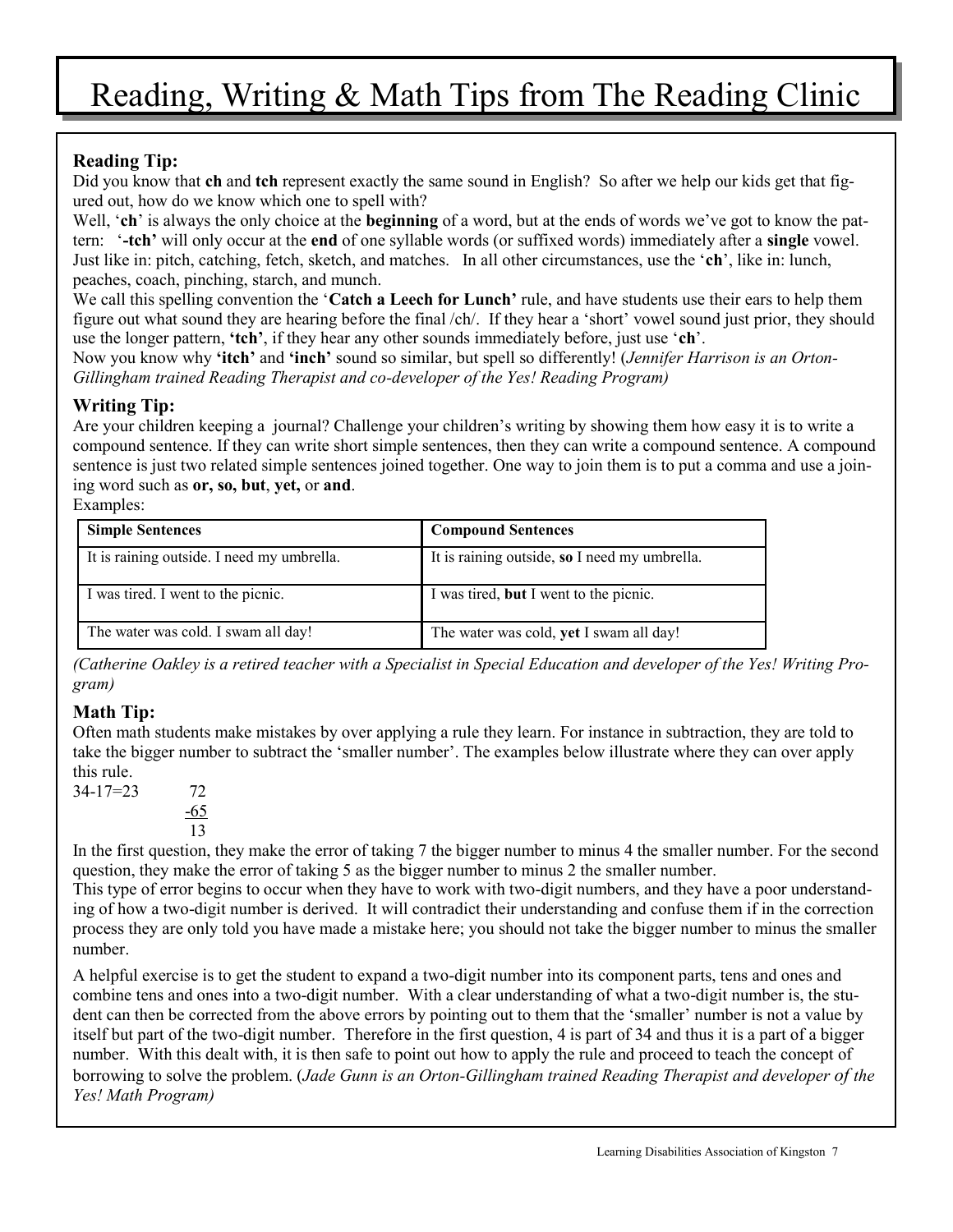# Reading, Writing & Math Tips from The Reading Clinic

## **Reading Tip:**

Did you know that **ch** and **tch** represent exactly the same sound in English? So after we help our kids get that figured out, how do we know which one to spell with?

Well, '**ch**' is always the only choice at the **beginning** of a word, but at the ends of words we've got to know the pattern: '**-tch'** will only occur at the **end** of one syllable words (or suffixed words) immediately after a **single** vowel. Just like in: pitch, catching, fetch, sketch, and matches. In all other circumstances, use the '**ch**', like in: lunch, peaches, coach, pinching, starch, and munch.

We call this spelling convention the '**Catch a Leech for Lunch'** rule, and have students use their ears to help them figure out what sound they are hearing before the final /ch/. If they hear a 'short' vowel sound just prior, they should use the longer pattern, **'tch'**, if they hear any other sounds immediately before, just use '**ch**'.

Now you know why **'itch'** and **'inch'** sound so similar, but spell so differently! (*Jennifer Harrison is an Orton-Gillingham trained Reading Therapist and co-developer of the Yes! Reading Program)*

### **Writing Tip:**

Are your children keeping a journal? Challenge your children's writing by showing them how easy it is to write a compound sentence. If they can write short simple sentences, then they can write a compound sentence. A compound sentence is just two related simple sentences joined together. One way to join them is to put a comma and use a joining word such as **or, so, but**, **yet,** or **and**.

Examples:

| <b>Simple Sentences</b>                    | <b>Compound Sentences</b>                     |
|--------------------------------------------|-----------------------------------------------|
| It is raining outside. I need my umbrella. | It is raining outside, so I need my umbrella. |
| I was tired. I went to the picnic.         | I was tired, but I went to the picnic.        |
| The water was cold. I swam all day!        | The water was cold, yet I swam all day!       |

*(Catherine Oakley is a retired teacher with a Specialist in Special Education and developer of the Yes! Writing Program)*

## **Math Tip:**

Often math students make mistakes by over applying a rule they learn. For instance in subtraction, they are told to take the bigger number to subtract the 'smaller number'. The examples below illustrate where they can over apply this rule.

34-17=23 72 -65 13

In the first question, they make the error of taking 7 the bigger number to minus 4 the smaller number. For the second question, they make the error of taking 5 as the bigger number to minus 2 the smaller number.

This type of error begins to occur when they have to work with two-digit numbers, and they have a poor understanding of how a two-digit number is derived. It will contradict their understanding and confuse them if in the correction process they are only told you have made a mistake here; you should not take the bigger number to minus the smaller number.

A helpful exercise is to get the student to expand a two-digit number into its component parts, tens and ones and combine tens and ones into a two-digit number. With a clear understanding of what a two-digit number is, the student can then be corrected from the above errors by pointing out to them that the 'smaller' number is not a value by itself but part of the two-digit number. Therefore in the first question, 4 is part of 34 and thus it is a part of a bigger number. With this dealt with, it is then safe to point out how to apply the rule and proceed to teach the concept of borrowing to solve the problem. (*Jade Gunn is an Orton-Gillingham trained Reading Therapist and developer of the Yes! Math Program)*